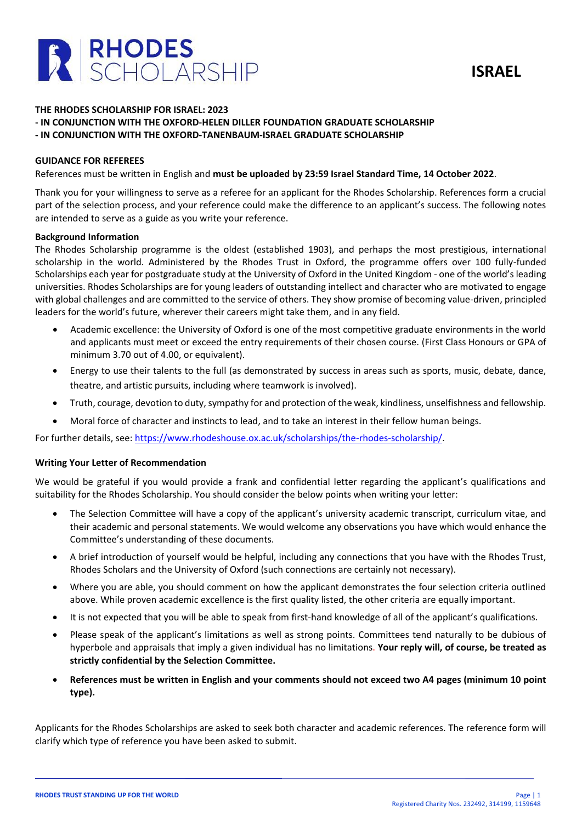

#### **THE RHODES SCHOLARSHIP FOR ISRAEL: 2023**

- **- IN CONJUNCTION WITH THE OXFORD-HELEN DILLER FOUNDATION GRADUATE SCHOLARSHIP**
- **- IN CONJUNCTION WITH THE OXFORD-TANENBAUM-ISRAEL GRADUATE SCHOLARSHIP**

### **GUIDANCE FOR REFEREES**

References must be written in English and **must be uploaded by 23:59 Israel Standard Time, 14 October 2022**.

Thank you for your willingness to serve as a referee for an applicant for the Rhodes Scholarship. References form a crucial part of the selection process, and your reference could make the difference to an applicant's success. The following notes are intended to serve as a guide as you write your reference.

#### **Background Information**

The Rhodes Scholarship programme is the oldest (established 1903), and perhaps the most prestigious, international scholarship in the world. Administered by the Rhodes Trust in Oxford, the programme offers over 100 fully-funded Scholarships each year for postgraduate study at the University of Oxford in the United Kingdom - one of the world's leading universities. Rhodes Scholarships are for young leaders of outstanding intellect and character who are motivated to engage with global challenges and are committed to the service of others. They show promise of becoming value-driven, principled leaders for the world's future, wherever their careers might take them, and in any field.

- Academic excellence: the University of Oxford is one of the most competitive graduate environments in the world and applicants must meet or exceed the entry requirements of their chosen course. (First Class Honours or GPA of minimum 3.70 out of 4.00, or equivalent).
- Energy to use their talents to the full (as demonstrated by success in areas such as sports, music, debate, dance, theatre, and artistic pursuits, including where teamwork is involved).
- Truth, courage, devotion to duty, sympathy for and protection of the weak, kindliness, unselfishness and fellowship.
- Moral force of character and instincts to lead, and to take an interest in their fellow human beings.

For further details, see: [https://www.rhodeshouse.ox.ac.uk/scholarships/the-rhodes-scholarship/.](https://www.rhodeshouse.ox.ac.uk/scholarships/the-rhodes-scholarship/)

# **Writing Your Letter of Recommendation**

We would be grateful if you would provide a frank and confidential letter regarding the applicant's qualifications and suitability for the Rhodes Scholarship. You should consider the below points when writing your letter:

- The Selection Committee will have a copy of the applicant's university academic transcript, curriculum vitae, and their academic and personal statements. We would welcome any observations you have which would enhance the Committee's understanding of these documents.
- A brief introduction of yourself would be helpful, including any connections that you have with the Rhodes Trust, Rhodes Scholars and the University of Oxford (such connections are certainly not necessary).
- Where you are able, you should comment on how the applicant demonstrates the four selection criteria outlined above. While proven academic excellence is the first quality listed, the other criteria are equally important.
- It is not expected that you will be able to speak from first-hand knowledge of all of the applicant's qualifications.
- Please speak of the applicant's limitations as well as strong points. Committees tend naturally to be dubious of hyperbole and appraisals that imply a given individual has no limitations. **Your reply will, of course, be treated as strictly confidential by the Selection Committee.**
- **References must be written in English and your comments should not exceed two A4 pages (minimum 10 point type).**

Applicants for the Rhodes Scholarships are asked to seek both character and academic references. The reference form will clarify which type of reference you have been asked to submit.